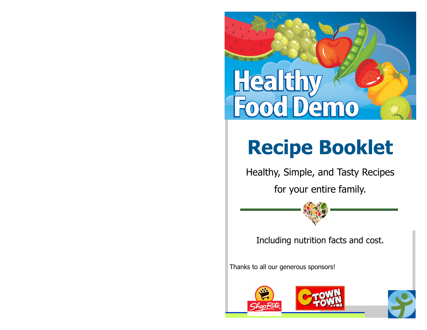

# **Recipe Booklet**

Healthy, Simple, and Tasty Recipes

for your entire family.



Thanks to all our generous sponsors!

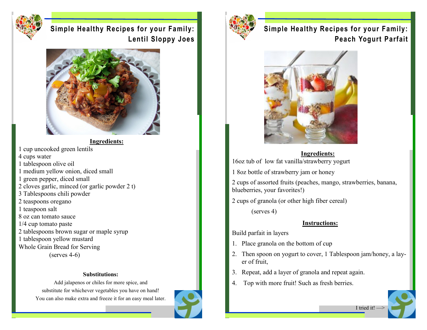

**Simple Healthy Recipes for your Family: Lentil Sloppy Joes**



**Ingredients:**

- 1 cup uncooked green lentils
- 4 cups water
- 1 tablespoon olive oil
- 1 medium yellow onion, diced small
- 1 green pepper, diced small
- 2 cloves garlic, minced (or garlic powder 2 t)
- 3 Tablespoons chili powder
- 2 teaspoons oregano
- 1 teaspoon salt
- 8 oz can tomato sauce
- 1/4 cup tomato paste
- 2 tablespoons brown sugar or maple syrup
- 1 tablespoon yellow mustard
- Whole Grain Bread for Serving
	- (serves 4-6)

#### **Substitutions:**

Add jalapenos or chiles for more spice, and substitute for whichever vegetables you have on hand! You can also make extra and freeze it for an easy meal later.





# **Simple Healthy Recipes for your Family: Peach Yogurt Parfait**



#### **Ingredients:**

16oz tub of low fat vanilla/strawberry yogurt

1 8oz bottle of strawberry jam or honey

2 cups of assorted fruits (peaches, mango, strawberries, banana, blueberries, your favorites!)

2 cups of granola (or other high fiber cereal)

(serves 4)

#### **Instructions:**

Build parfait in layers

- 1. Place granola on the bottom of cup
- 2. Then spoon on yogurt to cover, 1 Tablespoon jam/honey, a layer of fruit,
- 3. Repeat, add a layer of granola and repeat again.
- 4. Top with more fruit! Such as fresh berries.

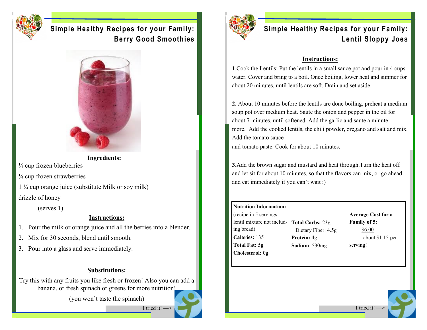

## **Simple Healthy Recipes for your Family: Berry Good Smoothies**



**Ingredients:**

 $\frac{1}{4}$  cup frozen blueberries

 $\frac{1}{4}$  cup frozen strawberries

1 ¼ cup orange juice (substitute Milk or soy milk) drizzle of honey

(serves 1)

## **Instructions:**

1. Pour the milk or orange juice and all the berries into a blender.

- 2. Mix for 30 seconds, blend until smooth.
- 3. Pour into a glass and serve immediately.

## **Substitutions:**

Try this with any fruits you like fresh or frozen! Also you can add a banana, or fresh spinach or greens for more nutrition!

(you won't taste the spinach)

I tried it! —>

# **Simple Healthy Recipes for your Family: Lentil Sloppy Joes**

## **Instructions:**

**1**.Cook the Lentils: Put the lentils in a small sauce pot and pour in 4 cups water. Cover and bring to a boil. Once boiling, lower heat and simmer for about 20 minutes, until lentils are soft. Drain and set aside.

**2**. About 10 minutes before the lentils are done boiling, preheat a medium soup pot over medium heat. Saute the onion and pepper in the oil for about 7 minutes, until softened. Add the garlic and saute a minute more. Add the cooked lentils, the chili powder, oregano and salt and mix. Add the tomato sauce

and tomato paste. Cook for about 10 minutes.

**3**.Add the brown sugar and mustard and heat through.Turn the heat off and let sit for about 10 minutes, so that the flavors can mix, or go ahead and eat immediately if you can't wait :)

#### **Nutrition Information:**

(recipe in 5 servings, lentil mixture not includ-**Total Carbs:** 23g ing bread) **Calories:** 135 **Total Fat:** 5g **Cholesterol:** 0g

 Dietary Fiber: 4.5g **Protein:** 4g **Sodium**: 530mg

**Average Cost for a Family of 5:** \$6.00  $=$  about \$1.15 per serving!



I tried it!  $-$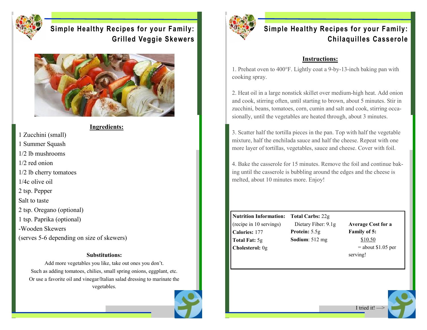

# **Simple Healthy Recipes for your Family: Grilled Veggie Skewers**



#### **Ingredients:**

1 Zucchini (small) 1 Summer Squash 1/2 lb mushrooms 1/2 red onion 1/2 lb cherry tomatoes 1/4c olive oil 2 tsp. Pepper Salt to taste 2 tsp. Oregano (optional) 1 tsp. Paprika (optional) -Wooden Skewers (serves 5-6 depending on size of skewers)

#### **Substitutions:**

Add more vegetables you like, take out ones you don't. Such as adding tomatoes, chilies, small spring onions, eggplant, etc. Or use a favorite oil and vinegar/Italian salad dressing to marinate the vegetables.





# **Simple Healthy Recipes for your Family: Chilaquilles Casserole**

#### **Instructions:**

1. Preheat oven to 400°F. Lightly coat a 9-by-13-inch baking pan with cooking spray.

2. Heat oil in a large nonstick skillet over medium-high heat. Add onion and cook, stirring often, until starting to brown, about 5 minutes. Stir in zucchini, beans, tomatoes, corn, cumin and salt and cook, stirring occasionally, until the vegetables are heated through, about 3 minutes.

3. Scatter half the tortilla pieces in the pan. Top with half the vegetable mixture, half the enchilada sauce and half the cheese. Repeat with one more layer of tortillas, vegetables, sauce and cheese. Cover with foil.

4. Bake the casserole for 15 minutes. Remove the foil and continue baking until the casserole is bubbling around the edges and the cheese is melted, about 10 minutes more. Enjoy!

**Nutrition Information: Total Carbs:** 22g (recipe in 10 servings) **Calories:** 177 **Total Fat:** 5g **Cholesterol:** 0g

 Dietary Fiber: 9.1g **Protein:** 5.5g **Sodium**: 512 mg

**Average Cost for a Family of 5:** \$10.50  $=$  about \$1.05 per serving!



I tried it! $-$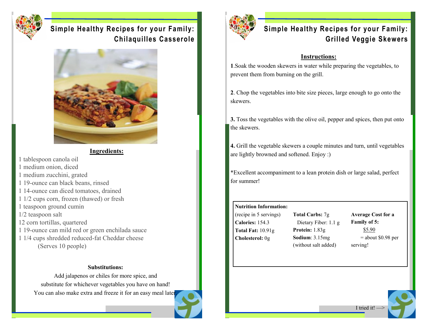

## **Simple Healthy Recipes for your Family: Chilaquilles Casserole**



**Ingredients:**

1 tablespoon canola oil 1 medium onion, diced 1 medium zucchini, grated 1 19-ounce can black beans, rinsed 1 14-ounce can diced tomatoes, drained 1 1/2 cups corn, frozen (thawed) or fresh 1 teaspoon ground cumin 1/2 teaspoon salt 12 corn tortillas, quartered 1 19-ounce can mild red or green enchilada sauce 1 1/4 cups shredded reduced-fat Cheddar cheese (Serves 10 people)

#### **Substitutions:**

Add jalapenos or chiles for more spice, and substitute for whichever vegetables you have on hand! You can also make extra and freeze it for an easy meal later



## **Simple Healthy Recipes for your Family: Grilled Veggie Skewers**

#### **Instructions:**

**1**.Soak the wooden skewers in water while preparing the vegetables, to prevent them from burning on the grill.

**2**. Chop the vegetables into bite size pieces, large enough to go onto the skewers.

**3.** Toss the vegetables with the olive oil, pepper and spices, then put onto the skewers.

**4.** Grill the vegetable skewers a couple minutes and turn, until vegetables are lightly browned and softened. Enjoy :)

\*Excellent accompaniment to a lean protein dish or large salad, perfect for summer!

## **Nutrition Information:**

(recipe in 5 servings) **Calories:** 154.3 **Total Fat:** 10.91g **Cholesterol:** 0g

**Total Carbs:** 7g Dietary Fiber: 1.1 g **Protein:** 1.83g **Sodium**: 3.15mg (without salt added)

**Average Cost for a Family of 5:** \$5.90  $=$  about \$0.98 per serving!



I tried it! $-$